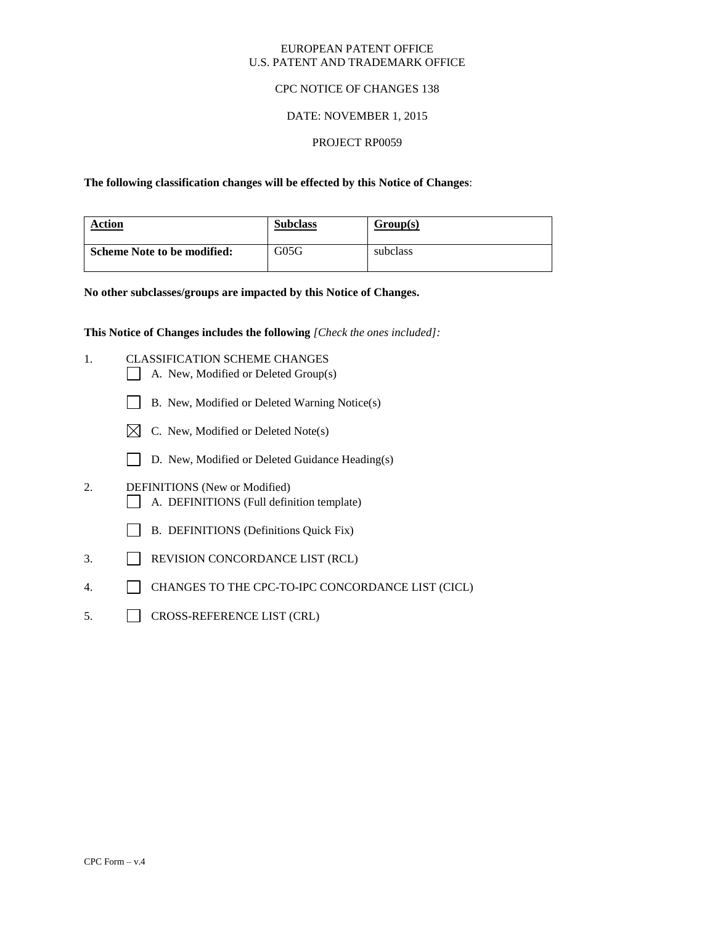### EUROPEAN PATENT OFFICE U.S. PATENT AND TRADEMARK OFFICE

## CPC NOTICE OF CHANGES 138

## DATE: NOVEMBER 1, 2015

#### PROJECT RP0059

## **The following classification changes will be effected by this Notice of Changes**:

| Action                             | <b>Subclass</b> | Group(s) |
|------------------------------------|-----------------|----------|
| <b>Scheme Note to be modified:</b> | G05G            | subclass |

#### **No other subclasses/groups are impacted by this Notice of Changes.**

**This Notice of Changes includes the following** *[Check the ones included]:*

- 1. CLASSIFICATION SCHEME CHANGES
	- A. New, Modified or Deleted Group(s)
	- B. New, Modified or Deleted Warning Notice(s)
	- $\boxtimes$  C. New, Modified or Deleted Note(s)
	- D. New, Modified or Deleted Guidance Heading(s)
- 2. DEFINITIONS (New or Modified) A. DEFINITIONS (Full definition template)
	- B. DEFINITIONS (Definitions Quick Fix)
- 3. REVISION CONCORDANCE LIST (RCL)
- 4. CHANGES TO THE CPC-TO-IPC CONCORDANCE LIST (CICL)
- 5. CROSS-REFERENCE LIST (CRL)